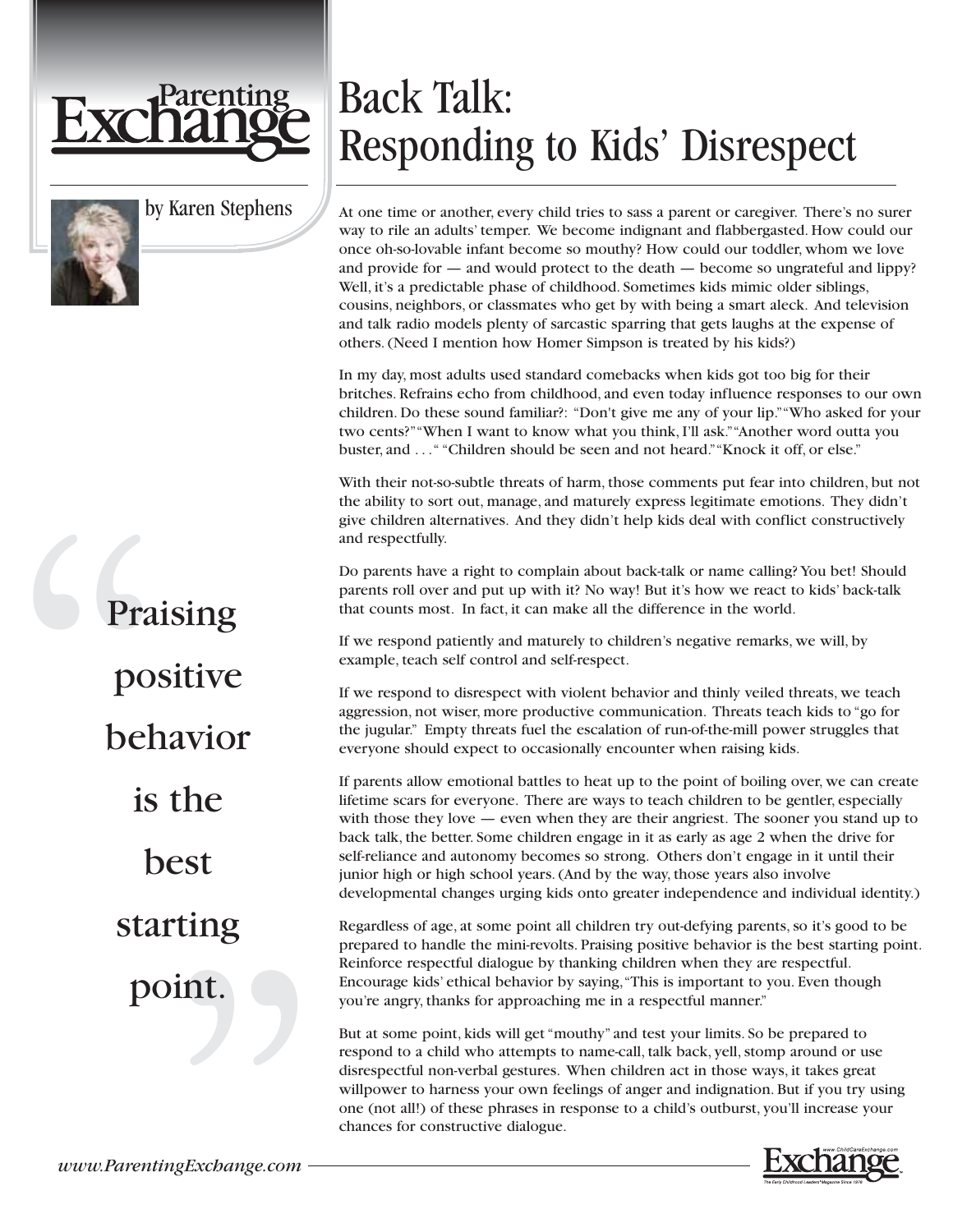

by Karen Stephens

## Praising positive behavior is the best starting point.

## Back Talk: Responding to Kids' Disrespect

At one time or another, every child tries to sass a parent or caregiver. There's no surer way to rile an adults' temper. We become indignant and flabbergasted. How could our once oh-so-lovable infant become so mouthy? How could our toddler, whom we love and provide for — and would protect to the death — become so ungrateful and lippy? Well, it's a predictable phase of childhood. Sometimes kids mimic older siblings, cousins, neighbors, or classmates who get by with being a smart aleck. And television and talk radio models plenty of sarcastic sparring that gets laughs at the expense of others. (Need I mention how Homer Simpson is treated by his kids?)

In my day, most adults used standard comebacks when kids got too big for their britches. Refrains echo from childhood, and even today influence responses to our own children. Do these sound familiar?: "Don't give me any of your lip.""Who asked for your two cents?""When I want to know what you think, I'll ask.""Another word outta you buster, and . . ." "Children should be seen and not heard.""Knock it off, or else."

With their not-so-subtle threats of harm, those comments put fear into children, but not the ability to sort out, manage, and maturely express legitimate emotions. They didn't give children alternatives. And they didn't help kids deal with conflict constructively and respectfully.

Do parents have a right to complain about back-talk or name calling? You bet! Should parents roll over and put up with it? No way! But it's how we react to kids' back-talk that counts most. In fact, it can make all the difference in the world.

If we respond patiently and maturely to children's negative remarks, we will, by example, teach self control and self-respect.

If we respond to disrespect with violent behavior and thinly veiled threats, we teach aggression, not wiser, more productive communication. Threats teach kids to "go for the jugular." Empty threats fuel the escalation of run-of-the-mill power struggles that everyone should expect to occasionally encounter when raising kids.

If parents allow emotional battles to heat up to the point of boiling over, we can create lifetime scars for everyone. There are ways to teach children to be gentler, especially with those they love  $-$  even when they are their angriest. The sooner you stand up to back talk, the better. Some children engage in it as early as age 2 when the drive for self-reliance and autonomy becomes so strong. Others don't engage in it until their junior high or high school years. (And by the way, those years also involve developmental changes urging kids onto greater independence and individual identity.)

Regardless of age, at some point all children try out-defying parents, so it's good to be prepared to handle the mini-revolts. Praising positive behavior is the best starting point. Reinforce respectful dialogue by thanking children when they are respectful. Encourage kids' ethical behavior by saying,"This is important to you. Even though you're angry, thanks for approaching me in a respectful manner."

But at some point, kids will get "mouthy" and test your limits. So be prepared to respond to a child who attempts to name-call, talk back, yell, stomp around or use disrespectful non-verbal gestures. When children act in those ways, it takes great willpower to harness your own feelings of anger and indignation. But if you try using one (not all!) of these phrases in response to a child's outburst, you'll increase your chances for constructive dialogue.